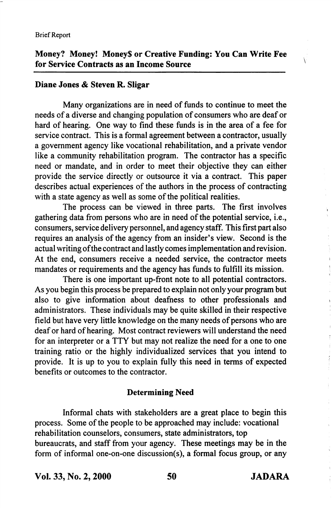# Money? Money! Money\$ or Creative Funding: You Can Write Fee for Service Contracts as an Income Source

## Diane Jones & Steven R. Sligar

Many organizations are in need of funds to continue to meet the needs of a diverse and changing population of consumers who are deaf or hard of hearing. One way to find these funds is in the area of a fee for service contract. This is a formal agreement between a contractor, usually a government agency like vocational rehabilitation, and a private vendor like a community rehabilitation program. The contractor has a specific need or mandate, and in order to meet their objective they can either provide the service directly or outsource it via a contract. This paper describes actual experiences of the authors in the process of contracting with a state agency as well as some of the political realities.

The process can be viewed in three parts. The first involves gathering data from persons who are in need of the potential service, i.e., consumers, service delivery personnel, and agency staff. This first part also requires an analysis of the agency from an insider's view. Second is the actual writing ofthe contract and lastly comes implementation and revision. At the end, consumers receive a needed service, the contractor meets mandates or requirements and the agency has funds to fulfill its mission.

There is one important up-front note to all potential contractors. As you begin this process be prepared to explain not only your program but also to give information about deafhess to other professionals and administrators. These individuals may be quite skilled in their respective field but have very little knowledge on the many needs of persons who are deaf or hard of hearing. Most contract reviewers will understand the need for an interpreter or a TTY but may not realize the need for a one to one training ratio or the highly individualized services that you intend to provide. It is up to you to explain fully this need in terms of expected benefits or outcomes to the contractor.

### Determining Need

Informal chats with stakeholders are a great place to begin this process. Some of the people to be approached may include: vocational rehabilitation counselors, consumers, state administrators, top bureaucrats, and staff from your agency. These meetings may be in the form of informal one-on-one discussion(s), a formal focus group, or any

Vol. 33, No. 2,2000 50 JADARA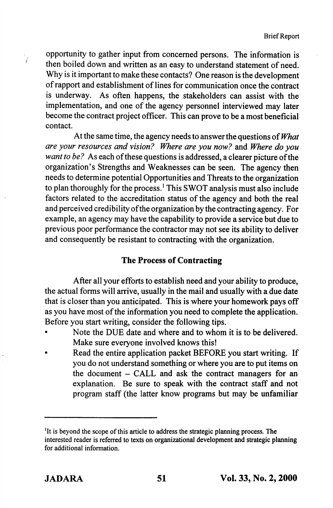opportunity to gather input from concerned persons. The information is then boiled down and written as an easy to understand statement of need. Why is it important to make these contacts? One reason is the development of rapport and establishment of lines for communication once the contract is underway. As often happens, the stakeholders can assist with the implementation, and one of the agency personnel interviewed may later become the contract project officer. This can prove to be a most beneficial contact.

At the same time, the agency needs to answer the questions of What are your resources and vision? Where are you now? and Where do you want to be? As each of these questions is addressed, a clearer picture of the organization's Strengths and Weaknesses can be seen. The agency then needs to determine potential Opportunities and Threats to the organization to plan thoroughly for the process.' This SWOT analysis must also include factors related to the accreditation status of the agency and both the real and perceived credibility ofthe organization by the contracting agency. For example, an agency may have the capability to provide a service but due to previous poor performance the contractor may not see its ability to deliver and consequently be resistant to contracting with the organization.

## The Process of Contracting

After all your efforts to establish need and your ability to produce, the actual forms will arrive, usually in the mail and usually with a due date that is closer than you anticipated. This is where your homework pays off as you have most of the information you need to complete the application. Before you start writing, consider the following tips.

- Note the DUE date and where and to whom it is to be delivered. Make sure everyone involved knows this!
- Read the entire application packet BEFORE you start writing. If you do not understand something or where you are to put items on the document - CALL and ask the contract managers for an explanation. Be sure to speak with the contract staff and not program staff (the latter know programs but may be unfamiliar

<sup>&</sup>lt;sup>1</sup>It is beyond the scope of this article to address the strategic planning process. The interested reader is referred to texts on organizational development and strategic planning for additional information.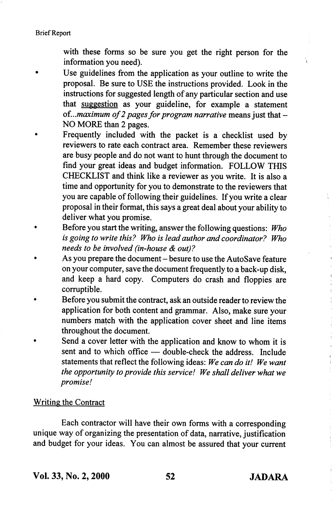Brief Report

with these forms so be sure you get the right person for the information you need).

- Use guidelines from the application as your outline to write the proposal. Be sure to USE the instructions provided. Look in the instructions for suggested length of any particular section and use that suggestion as your guideline, for example a statement of...maximum of 2 pages for program narrative means just that  $-$ NO MORE than 2 pages.
- Frequently included with the packet is a checklist used by reviewers to rate each contract area. Remember these reviewers are busy people and do not want to hunt through the document to find your great ideas and budget information. FOLLOW THIS CHECKLIST and think like a reviewer as you write. It is also a time and opportunity for you to demonstrate to the reviewers that you are capable of following their guidelines. If you write a clear proposal in their format, this says a great deal about your ability to deliver what you promise.
- Before you start the writing, answer the following questions: Who is going to write this? Who is lead author and coordinator? Who needs to be involved (in-house & out)?
- As you prepare the document besure to use the AutoSave feature on your computer, save the document frequently to a back-up disk, and keep a hard copy. Computers do crash and floppies are corruptible.
- Before you submit the contract, ask an outside reader to review the application for both content and grammar. Also, make sure your numbers match with the application cover sheet and line items throughout the document.
- Send a cover letter with the application and know to whom it is sent and to which office — double-check the address. Include statements that reflect the following ideas: We can do it! We want the opportunity to provide this service! We shall deliver what we promise!

#### Writing the Contract

Each contractor will have their own forms with a corresponding unique way of organizing the presentation of data, narrative, justification and budget for your ideas. You can almost be assured that your current